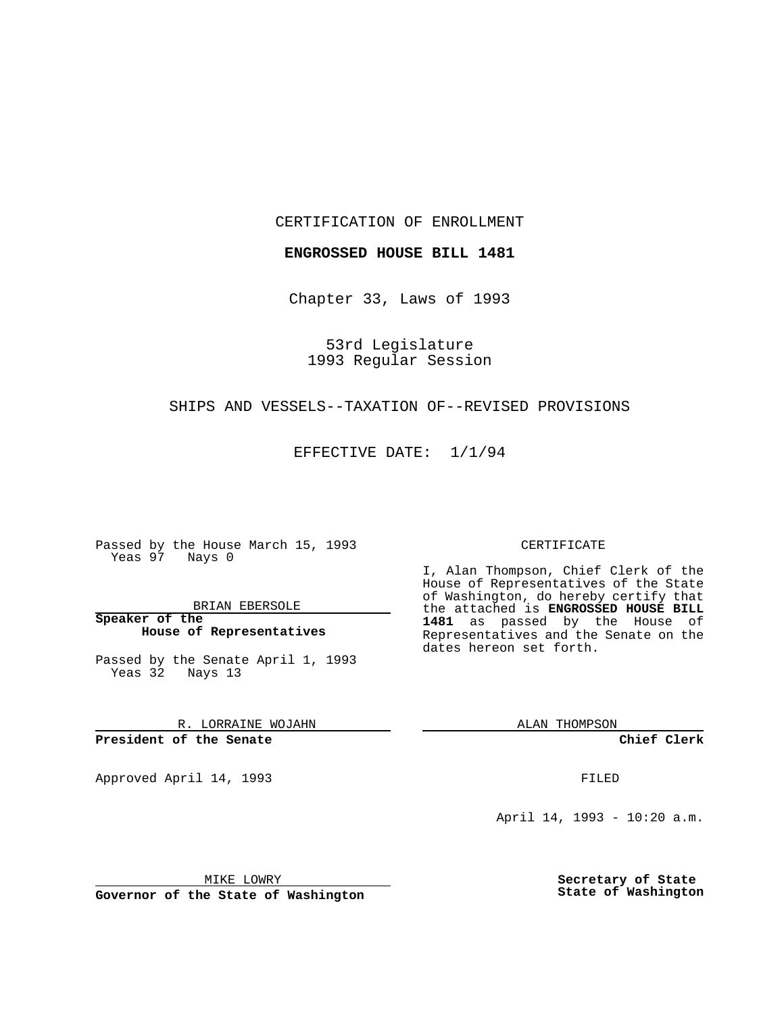CERTIFICATION OF ENROLLMENT

**ENGROSSED HOUSE BILL 1481**

Chapter 33, Laws of 1993

53rd Legislature 1993 Regular Session

## SHIPS AND VESSELS--TAXATION OF--REVISED PROVISIONS

EFFECTIVE DATE: 1/1/94

Passed by the House March 15, 1993 Yeas 97 Nays 0

BRIAN EBERSOLE

**Speaker of the House of Representatives**

Passed by the Senate April 1, 1993 Yeas 32 Nays 13

R. LORRAINE WOJAHN

**President of the Senate**

Approved April 14, 1993 **FILED** 

## CERTIFICATE

I, Alan Thompson, Chief Clerk of the House of Representatives of the State of Washington, do hereby certify that the attached is **ENGROSSED HOUSE BILL 1481** as passed by the House of Representatives and the Senate on the dates hereon set forth.

ALAN THOMPSON

**Chief Clerk**

April 14, 1993 - 10:20 a.m.

MIKE LOWRY

**Governor of the State of Washington**

**Secretary of State State of Washington**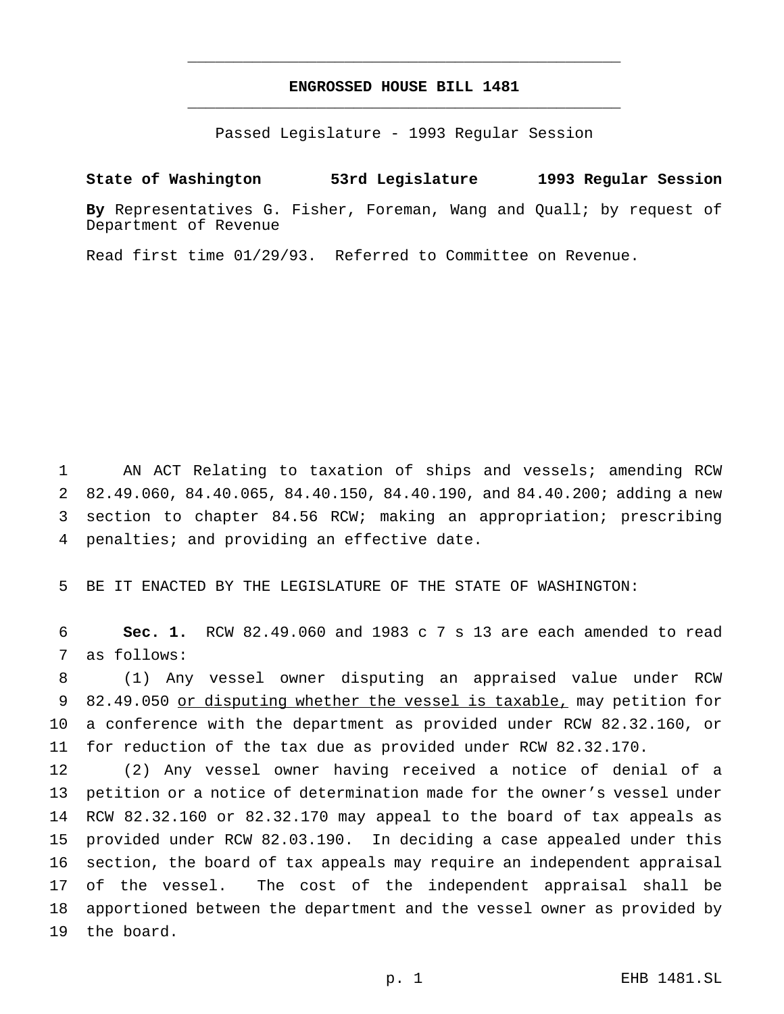## **ENGROSSED HOUSE BILL 1481** \_\_\_\_\_\_\_\_\_\_\_\_\_\_\_\_\_\_\_\_\_\_\_\_\_\_\_\_\_\_\_\_\_\_\_\_\_\_\_\_\_\_\_\_\_\_\_

\_\_\_\_\_\_\_\_\_\_\_\_\_\_\_\_\_\_\_\_\_\_\_\_\_\_\_\_\_\_\_\_\_\_\_\_\_\_\_\_\_\_\_\_\_\_\_

Passed Legislature - 1993 Regular Session

## **State of Washington 53rd Legislature 1993 Regular Session**

**By** Representatives G. Fisher, Foreman, Wang and Quall; by request of Department of Revenue

Read first time 01/29/93. Referred to Committee on Revenue.

 AN ACT Relating to taxation of ships and vessels; amending RCW 82.49.060, 84.40.065, 84.40.150, 84.40.190, and 84.40.200; adding a new section to chapter 84.56 RCW; making an appropriation; prescribing penalties; and providing an effective date.

BE IT ENACTED BY THE LEGISLATURE OF THE STATE OF WASHINGTON:

 **Sec. 1.** RCW 82.49.060 and 1983 c 7 s 13 are each amended to read as follows:

 (1) Any vessel owner disputing an appraised value under RCW 82.49.050 or disputing whether the vessel is taxable, may petition for a conference with the department as provided under RCW 82.32.160, or for reduction of the tax due as provided under RCW 82.32.170.

 (2) Any vessel owner having received a notice of denial of a petition or a notice of determination made for the owner's vessel under RCW 82.32.160 or 82.32.170 may appeal to the board of tax appeals as provided under RCW 82.03.190. In deciding a case appealed under this section, the board of tax appeals may require an independent appraisal of the vessel. The cost of the independent appraisal shall be apportioned between the department and the vessel owner as provided by the board.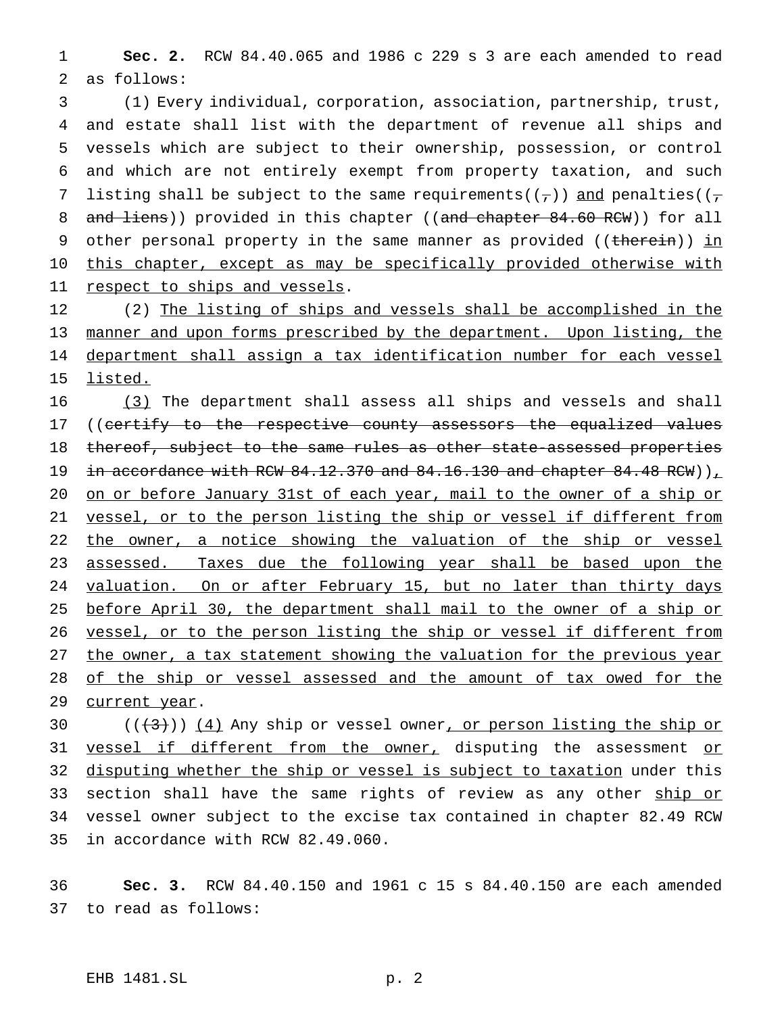1 **Sec. 2.** RCW 84.40.065 and 1986 c 229 s 3 are each amended to read 2 as follows:

3 (1) Every individual, corporation, association, partnership, trust, 4 and estate shall list with the department of revenue all ships and 5 vessels which are subject to their ownership, possession, or control 6 and which are not entirely exempt from property taxation, and such 7 listing shall be subject to the same requirements( $(\tau)$ ) and penalties( $(\tau)$ 8 and liens)) provided in this chapter ((and chapter 84.60 RCW)) for all 9 other personal property in the same manner as provided ((therein)) in 10 this chapter, except as may be specifically provided otherwise with 11 respect to ships and vessels.

12 (2) The listing of ships and vessels shall be accomplished in the 13 manner and upon forms prescribed by the department. Upon listing, the 14 department shall assign a tax identification number for each vessel 15 listed.

16 (3) The department shall assess all ships and vessels and shall 17 ((certify to the respective county assessors the equalized values 18 thereof, subject to the same rules as other state-assessed properties 19 in accordance with RCW  $84.12.370$  and  $84.16.130$  and chapter  $84.48$  RCW))<sub> $\perp$ </sub> 20 on or before January 31st of each year, mail to the owner of a ship or 21 vessel, or to the person listing the ship or vessel if different from 22 the owner, a notice showing the valuation of the ship or vessel 23 assessed. Taxes due the following year shall be based upon the 24 valuation. On or after February 15, but no later than thirty days 25 before April 30, the department shall mail to the owner of a ship or 26 vessel, or to the person listing the ship or vessel if different from 27 the owner, a tax statement showing the valuation for the previous year 28 of the ship or vessel assessed and the amount of tax owed for the 29 current year.

30  $((+3))$   $(4)$  Any ship or vessel owner, or person listing the ship or 31 vessel if different from the owner, disputing the assessment or 32 disputing whether the ship or vessel is subject to taxation under this 33 section shall have the same rights of review as any other ship or 34 vessel owner subject to the excise tax contained in chapter 82.49 RCW 35 in accordance with RCW 82.49.060.

36 **Sec. 3.** RCW 84.40.150 and 1961 c 15 s 84.40.150 are each amended 37 to read as follows: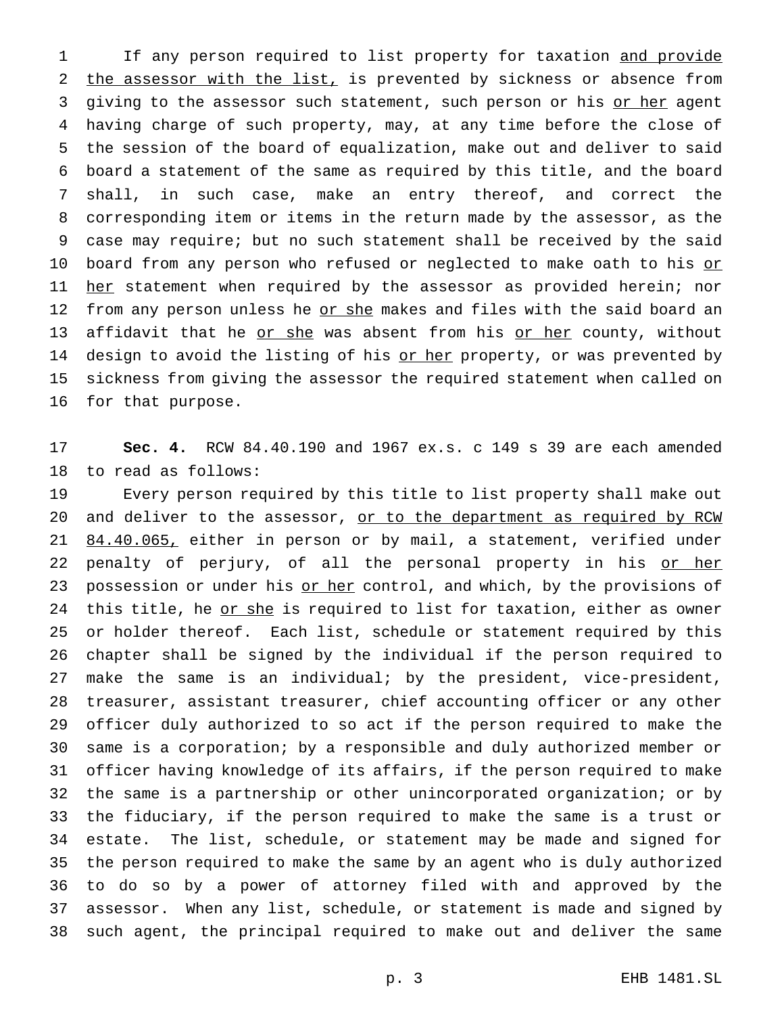1 If any person required to list property for taxation and provide the assessor with the list, is prevented by sickness or absence from 3 giving to the assessor such statement, such person or his or her agent having charge of such property, may, at any time before the close of the session of the board of equalization, make out and deliver to said board a statement of the same as required by this title, and the board shall, in such case, make an entry thereof, and correct the corresponding item or items in the return made by the assessor, as the case may require; but no such statement shall be received by the said 10 board from any person who refused or neglected to make oath to his or 11 her statement when required by the assessor as provided herein; nor 12 from any person unless he or she makes and files with the said board an 13 affidavit that he or she was absent from his or her county, without 14 design to avoid the listing of his or her property, or was prevented by sickness from giving the assessor the required statement when called on for that purpose.

 **Sec. 4.** RCW 84.40.190 and 1967 ex.s. c 149 s 39 are each amended to read as follows:

 Every person required by this title to list property shall make out 20 and deliver to the assessor, or to the department as required by RCW 21 84.40.065, either in person or by mail, a statement, verified under 22 penalty of perjury, of all the personal property in his or her 23 possession or under his or her control, and which, by the provisions of 24 this title, he or she is required to list for taxation, either as owner or holder thereof. Each list, schedule or statement required by this chapter shall be signed by the individual if the person required to make the same is an individual; by the president, vice-president, treasurer, assistant treasurer, chief accounting officer or any other officer duly authorized to so act if the person required to make the same is a corporation; by a responsible and duly authorized member or officer having knowledge of its affairs, if the person required to make the same is a partnership or other unincorporated organization; or by the fiduciary, if the person required to make the same is a trust or estate. The list, schedule, or statement may be made and signed for the person required to make the same by an agent who is duly authorized to do so by a power of attorney filed with and approved by the assessor. When any list, schedule, or statement is made and signed by such agent, the principal required to make out and deliver the same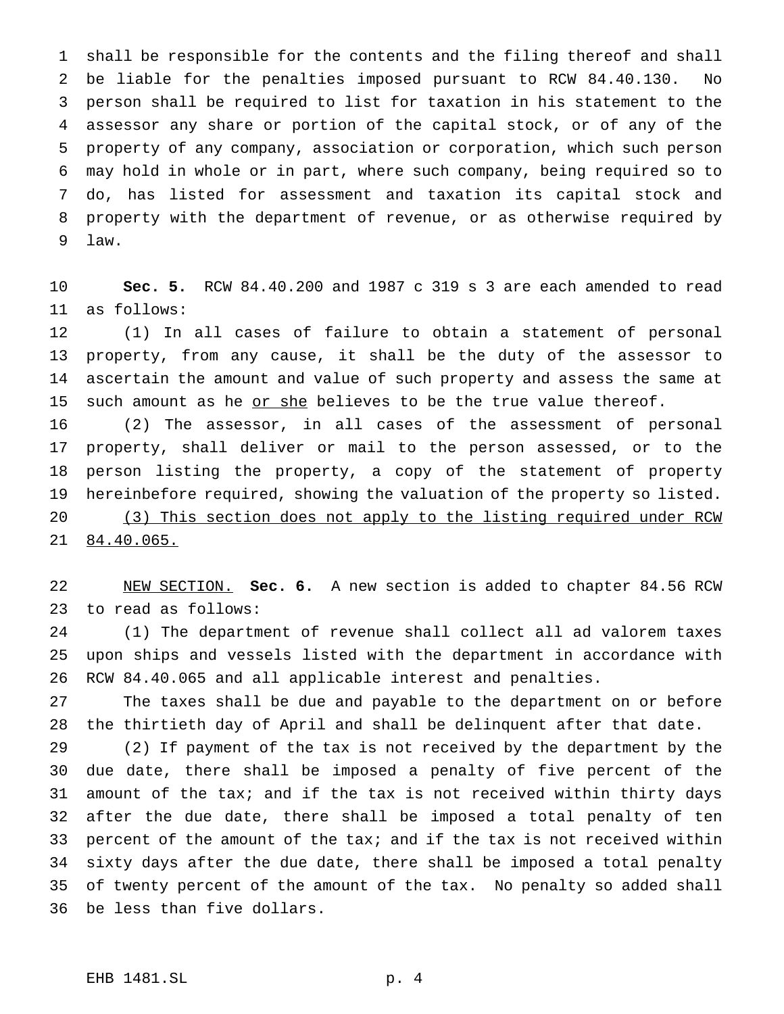shall be responsible for the contents and the filing thereof and shall be liable for the penalties imposed pursuant to RCW 84.40.130. No person shall be required to list for taxation in his statement to the assessor any share or portion of the capital stock, or of any of the property of any company, association or corporation, which such person may hold in whole or in part, where such company, being required so to do, has listed for assessment and taxation its capital stock and property with the department of revenue, or as otherwise required by law.

 **Sec. 5.** RCW 84.40.200 and 1987 c 319 s 3 are each amended to read as follows:

 (1) In all cases of failure to obtain a statement of personal property, from any cause, it shall be the duty of the assessor to ascertain the amount and value of such property and assess the same at 15 such amount as he or she believes to be the true value thereof.

 (2) The assessor, in all cases of the assessment of personal property, shall deliver or mail to the person assessed, or to the person listing the property, a copy of the statement of property hereinbefore required, showing the valuation of the property so listed. 20 (3) This section does not apply to the listing required under RCW 84.40.065.

 NEW SECTION. **Sec. 6.** A new section is added to chapter 84.56 RCW to read as follows:

 (1) The department of revenue shall collect all ad valorem taxes upon ships and vessels listed with the department in accordance with RCW 84.40.065 and all applicable interest and penalties.

 The taxes shall be due and payable to the department on or before the thirtieth day of April and shall be delinquent after that date.

 (2) If payment of the tax is not received by the department by the due date, there shall be imposed a penalty of five percent of the amount of the tax; and if the tax is not received within thirty days after the due date, there shall be imposed a total penalty of ten percent of the amount of the tax; and if the tax is not received within sixty days after the due date, there shall be imposed a total penalty of twenty percent of the amount of the tax. No penalty so added shall be less than five dollars.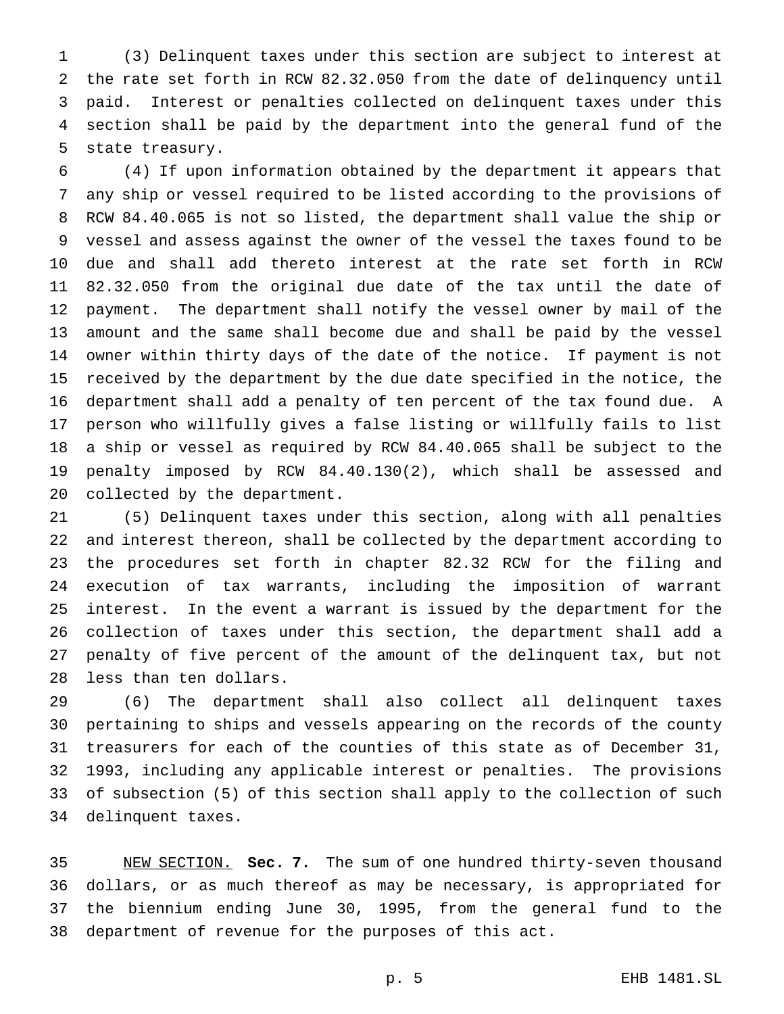(3) Delinquent taxes under this section are subject to interest at the rate set forth in RCW 82.32.050 from the date of delinquency until paid. Interest or penalties collected on delinquent taxes under this section shall be paid by the department into the general fund of the state treasury.

 (4) If upon information obtained by the department it appears that any ship or vessel required to be listed according to the provisions of RCW 84.40.065 is not so listed, the department shall value the ship or vessel and assess against the owner of the vessel the taxes found to be due and shall add thereto interest at the rate set forth in RCW 82.32.050 from the original due date of the tax until the date of payment. The department shall notify the vessel owner by mail of the amount and the same shall become due and shall be paid by the vessel owner within thirty days of the date of the notice. If payment is not received by the department by the due date specified in the notice, the department shall add a penalty of ten percent of the tax found due. A person who willfully gives a false listing or willfully fails to list a ship or vessel as required by RCW 84.40.065 shall be subject to the penalty imposed by RCW 84.40.130(2), which shall be assessed and collected by the department.

 (5) Delinquent taxes under this section, along with all penalties and interest thereon, shall be collected by the department according to the procedures set forth in chapter 82.32 RCW for the filing and execution of tax warrants, including the imposition of warrant interest. In the event a warrant is issued by the department for the collection of taxes under this section, the department shall add a penalty of five percent of the amount of the delinquent tax, but not less than ten dollars.

 (6) The department shall also collect all delinquent taxes pertaining to ships and vessels appearing on the records of the county treasurers for each of the counties of this state as of December 31, 1993, including any applicable interest or penalties. The provisions of subsection (5) of this section shall apply to the collection of such delinquent taxes.

 NEW SECTION. **Sec. 7.** The sum of one hundred thirty-seven thousand dollars, or as much thereof as may be necessary, is appropriated for the biennium ending June 30, 1995, from the general fund to the department of revenue for the purposes of this act.